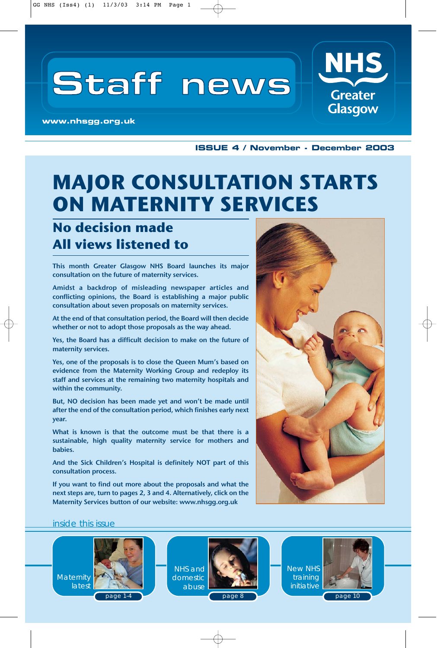# **Staff news**

**www.nhsgg.org.uk**

**ISSUE 4 / November - December 2003**

**NHS** 

**Greater Glasgow** 

## **MAJOR CONSULTATION STARTS ON MATERNITY SERVICES**

### **No decision made All views listened to**

This month Greater Glasgow NHS Board launches its major consultation on the future of maternity services.

Amidst a backdrop of misleading newspaper articles and conflicting opinions, the Board is establishing a major public consultation about seven proposals on maternity services.

At the end of that consultation period, the Board will then decide whether or not to adopt those proposals as the way ahead.

Yes, the Board has a difficult decision to make on the future of maternity services.

Yes, one of the proposals is to close the Queen Mum's based on evidence from the Maternity Working Group and redeploy its staff and services at the remaining two maternity hospitals and within the community.

But, NO decision has been made yet and won't be made until after the end of the consultation period, which finishes early next year.

What is known is that the outcome must be that there is a sustainable, high quality maternity service for mothers and babies.

And the Sick Children's Hospital is definitely NOT part of this consultation process.

If you want to find out more about the proposals and what the next steps are, turn to pages 2, 3 and 4. Alternatively, click on the Maternity Services button of our website: www.nhsgg.org.uk



#### inside this issue



page 1-4

NHS and domestic abuse



New NHS training initiative



page 10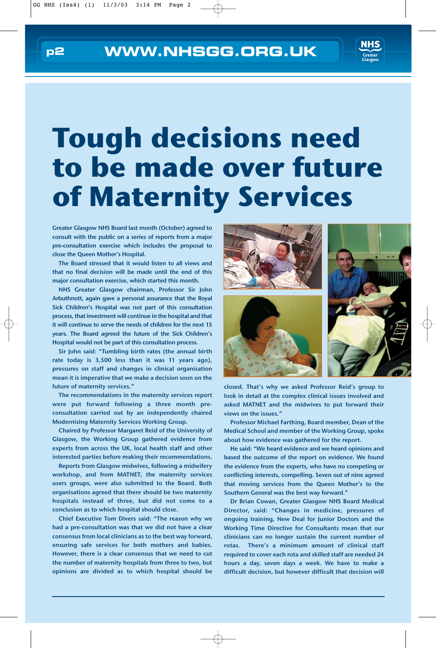

# **Tough decisions need to be made over future of Maternity Services**

Greater Glasgow NHS Board last month (October) agreed to consult with the public on a series of reports from a major pre-consultation exercise which includes the proposal to close the Queen Mother's Hospital.

The Board stressed that it would listen to all views and that no final decision will be made until the end of this major consultation exercise, which started this month.

NHS Greater Glasgow chairman, Professor Sir John Arbuthnott, again gave a personal assurance that the Royal Sick Children's Hospital was not part of this consultation process, that investment will continue in the hospital and that it will continue to serve the needs of children for the next 15 years. The Board agreed the future of the Sick Children's Hospital would not be part of this consultation process.

Sir John said: "Tumbling birth rates (the annual birth rate today is 3,500 less than it was 11 years ago), pressures on staff and changes in clinical organisation mean it is imperative that we make a decision soon on the future of maternity services."

The recommendations in the maternity services report were put forward following a three month preconsultation carried out by an independently chaired Modernising Maternity Services Working Group.

Chaired by Professor Margaret Reid of the University of Glasgow, the Working Group gathered evidence from experts from across the UK, local health staff and other interested parties before making their recommendations.

Reports from Glasgow midwives, following a midwifery workshop, and from MATNET, the maternity services users groups, were also submitted to the Board. Both organisations agreed that there should be two maternity hospitals instead of three, but did not come to a conclusion as to which hospital should close.

Chief Executive Tom Divers said: "The reason why we had a pre-consultation was that we did not have a clear consensus from local clinicians as to the best way forward, ensuring safe services for both mothers and babies. However, there is a clear consensus that we need to cut the number of maternity hospitals from three to two, but opinions are divided as to which hospital should be



closed. That's why we asked Professor Reid's group to look in detail at the complex clinical issues involved and asked MATNET and the midwives to put forward their views on the issues."

Professor Michael Farthing, Board member, Dean of the Medical School and member of the Working Group, spoke about how evidence was gathered for the report.

He said: "We heard evidence and we heard opinions and based the outcome of the report on evidence. We found the evidence from the experts, who have no competing or conflicting interests, compelling. Seven out of nine agreed that moving services from the Queen Mother's to the Southern General was the best way forward."

Dr Brian Cowan, Greater Glasgow NHS Board Medical Director, said: "Changes in medicine, pressures of ongoing training, New Deal for Junior Doctors and the Working Time Directive for Consultants mean that our clinicians can no longer sustain the current number of rotas. There's a minimum amount of clinical staff required to cover each rota and skilled staff are needed 24 hours a day, seven days a week. We have to make a difficult decision, but however difficult that decision will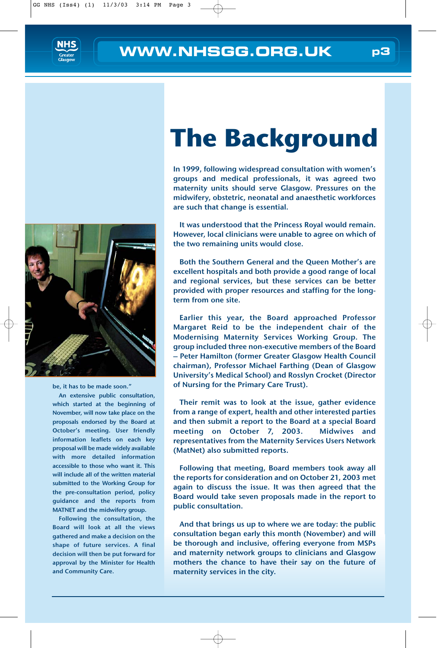



be, it has to be made soon."

An extensive public consultation, which started at the beginning of November, will now take place on the proposals endorsed by the Board at October's meeting. User friendly information leaflets on each key proposal will be made widely available with more detailed information accessible to those who want it. This will include all of the written material submitted to the Working Group for the pre-consultation period, policy guidance and the reports from MATNET and the midwifery group.

Following the consultation, the Board will look at all the views gathered and make a decision on the shape of future services. A final decision will then be put forward for approval by the Minister for Health and Community Care.

# **The Background**

In 1999, following widespread consultation with women's groups and medical professionals, it was agreed two maternity units should serve Glasgow. Pressures on the midwifery, obstetric, neonatal and anaesthetic workforces are such that change is essential.

It was understood that the Princess Royal would remain. However, local clinicians were unable to agree on which of the two remaining units would close.

Both the Southern General and the Queen Mother's are excellent hospitals and both provide a good range of local and regional services, but these services can be better provided with proper resources and staffing for the longterm from one site.

Earlier this year, the Board approached Professor Margaret Reid to be the independent chair of the Modernising Maternity Services Working Group. The group included three non-executive members of the Board – Peter Hamilton (former Greater Glasgow Health Council chairman), Professor Michael Farthing (Dean of Glasgow University's Medical School) and Rosslyn Crocket (Director of Nursing for the Primary Care Trust).

Their remit was to look at the issue, gather evidence from a range of expert, health and other interested parties and then submit a report to the Board at a special Board meeting on October 7, 2003. Midwives and representatives from the Maternity Services Users Network (MatNet) also submitted reports.

Following that meeting, Board members took away all the reports for consideration and on October 21, 2003 met again to discuss the issue. It was then agreed that the Board would take seven proposals made in the report to public consultation.

And that brings us up to where we are today: the public consultation began early this month (November) and will be thorough and inclusive, offering everyone from MSPs and maternity network groups to clinicians and Glasgow mothers the chance to have their say on the future of maternity services in the city.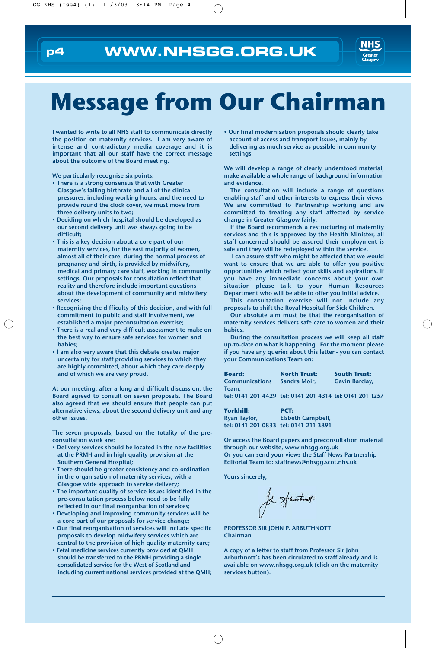

## **Message from Our Chairman**

I wanted to write to all NHS staff to communicate directly the position on maternity services. I am very aware of intense and contradictory media coverage and it is important that all our staff have the correct message about the outcome of the Board meeting.

We particularly recognise six points:

- There is a strong consensus that with Greater Glasgow's falling birthrate and all of the clinical pressures, including working hours, and the need to provide round the clock cover, we must move from three delivery units to two;
- Deciding on which hospital should be developed as our second delivery unit was always going to be difficult;
- This is a key decision about a core part of our maternity services, for the vast majority of women, almost all of their care, during the normal process of pregnancy and birth, is provided by midwifery, medical and primary care staff, working in community settings. Our proposals for consultation reflect that reality and therefore include important questions about the development of community and midwifery services;
- Recognising the difficulty of this decision, and with full commitment to public and staff involvement, we established a major preconsultation exercise;
- There is a real and very difficult assessment to make on the best way to ensure safe services for women and babies;
- I am also very aware that this debate creates major uncertainty for staff providing services to which they are highly committed, about which they care deeply and of which we are very proud.

At our meeting, after a long and difficult discussion, the Board agreed to consult on seven proposals. The Board also agreed that we should ensure that people can put alternative views, about the second delivery unit and any other issues.

The seven proposals, based on the totality of the preconsultation work are:

- Delivery services should be located in the new facilities at the PRMH and in high quality provision at the Southern General Hospital;
- There should be greater consistency and co-ordination in the organisation of maternity services, with a Glasgow wide approach to service delivery;
- The important quality of service issues identified in the pre-consultation process below need to be fully reflected in our final reorganisation of services;
- Developing and improving community services will be a core part of our proposals for service change;
- Our final reorganisation of services will include specific proposals to develop midwifery services which are central to the provision of high quality maternity care;
- Fetal medicine services currently provided at QMH should be transferred to the PRMH providing a single consolidated service for the West of Scotland and including current national services provided at the QMH;

• Our final modernisation proposals should clearly take account of access and transport issues, mainly by delivering as much service as possible in community settings.

We will develop a range of clearly understood material, make available a whole range of background information and evidence.

The consultation will include a range of questions enabling staff and other interests to express their views. We are committed to Partnership working and are committed to treating any staff affected by service change in Greater Glasgow fairly.

If the Board recommends a restructuring of maternity services and this is approved by the Health Minister, all staff concerned should be assured their employment is safe and they will be redeployed within the service.

I can assure staff who might be affected that we would want to ensure that we are able to offer you positive opportunities which reflect your skills and aspirations. If you have any immediate concerns about your own situation please talk to your Human Resources Department who will be able to offer you initial advice.

This consultation exercise will not include any proposals to shift the Royal Hospital for Sick Children.

Our absolute aim must be that the reorganisation of maternity services delivers safe care to women and their babies.

During the consultation process we will keep all staff up-to-date on what is happening. For the moment please if you have any queries about this letter - you can contact your Communications Team on:

| <b>Board:</b>                                             | <b>North Trust:</b> | <b>South Trust:</b>   |
|-----------------------------------------------------------|---------------------|-----------------------|
| <b>Communications</b>                                     | Sandra Moir.        | <b>Gavin Barclay,</b> |
| Team.                                                     |                     |                       |
| tel: 0141 201 4429  tel: 0141 201 4314 tel: 0141 201 1257 |                     |                       |

| Yorkhill:                             | PCT:                     |
|---------------------------------------|--------------------------|
| Ryan Taylor,                          | <b>Elsbeth Campbell,</b> |
| tel: 0141 201 0833 tel: 0141 211 3891 |                          |

Or access the Board papers and preconsultation material through our website, www.nhsgg.org.uk Or you can send your views the Staff News Partnership Editorial Team to: staffnews@nhsgg.scot.nhs.uk

Yours sincerely,

for Spanishest.

PROFESSOR SIR JOHN P. ARBUTHNOTT Chairman

A copy of a letter to staff from Professor Sir John Arbuthnott's has been circulated to staff already and is available on www.nhsgg.org.uk (click on the maternity services button).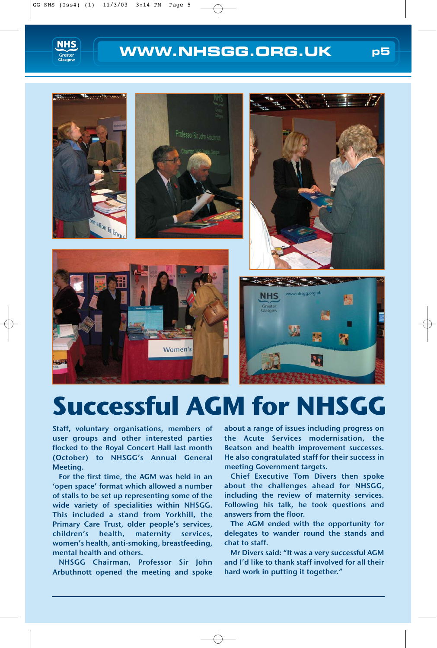



## **Successful AGM for NHSGG**

Staff, voluntary organisations, members of user groups and other interested parties flocked to the Royal Concert Hall last month (October) to NHSGG's Annual General Meeting.

For the first time, the AGM was held in an 'open space' format which allowed a number of stalls to be set up representing some of the wide variety of specialities within NHSGG. This included a stand from Yorkhill, the Primary Care Trust, older people's services, children's health, maternity services, women's health, anti-smoking, breastfeeding, mental health and others.

NHSGG Chairman, Professor Sir John Arbuthnott opened the meeting and spoke

about a range of issues including progress on the Acute Services modernisation, the Beatson and health improvement successes. He also congratulated staff for their success in meeting Government targets.

Chief Executive Tom Divers then spoke about the challenges ahead for NHSGG, including the review of maternity services. Following his talk, he took questions and answers from the floor.

The AGM ended with the opportunity for delegates to wander round the stands and chat to staff.

Mr Divers said: "It was a very successful AGM and I'd like to thank staff involved for all their hard work in putting it together."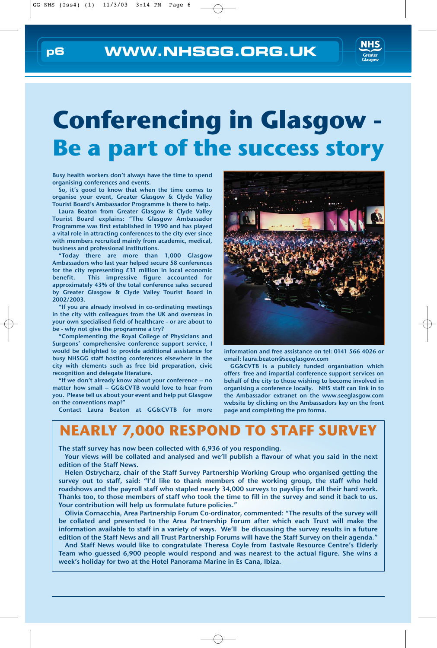

# **Conferencing in Glasgow - Be a part of the success story**

Busy health workers don't always have the time to spend organising conferences and events.

So, it's good to know that when the time comes to organise your event, Greater Glasgow & Clyde Valley Tourist Board's Ambassador Programme is there to help.

Laura Beaton from Greater Glasgow & Clyde Valley Tourist Board explains: "The Glasgow Ambassador Programme was first established in 1990 and has played a vital role in attracting conferences to the city ever since with members recruited mainly from academic, medical, business and professional institutions.

"Today there are more than 1,000 Glasgow Ambassadors who last year helped secure 58 conferences for the city representing £31 million in local economic benefit. This impressive figure accounted for approximately 43% of the total conference sales secured by Greater Glasgow & Clyde Valley Tourist Board in 2002/2003.

"If you are already involved in co-ordinating meetings in the city with colleagues from the UK and overseas in your own specialised field of healthcare - or are about to be - why not give the programme a try?

"Complementing the Royal College of Physicians and Surgeons' comprehensive conference support service, I would be delighted to provide additional assistance for busy NHSGG staff hosting conferences elsewhere in the city with elements such as free bid preparation, civic recognition and delegate literature.

"If we don't already know about your conference – no matter how small – GG&CVTB would love to hear from you. Please tell us about your event and help put Glasgow on the conventions map!"

Contact Laura Beaton at GG&CVTB for more



information and free assistance on tel: 0141 566 4026 or email: laura.beaton@seeglasgow.com

GG&CVTB is a publicly funded organisation which offers free and impartial conference support services on behalf of the city to those wishing to become involved in organising a conference locally. NHS staff can link in to the Ambassador extranet on the www.seeglasgow.com website by clicking on the Ambassadors key on the front page and completing the pro forma.

#### **NEARLY 7,000 RESPOND TO STAFF SURVEY**

The staff survey has now been collected with 6,936 of you responding.

Your views will be collated and analysed and we'll publish a flavour of what you said in the next edition of the Staff News.

Helen Ostrycharz, chair of the Staff Survey Partnership Working Group who organised getting the survey out to staff, said: "I'd like to thank members of the working group, the staff who held roadshows and the payroll staff who stapled nearly 34,000 surveys to payslips for all their hard work. Thanks too, to those members of staff who took the time to fill in the survey and send it back to us. Your contribution will help us formulate future policies."

Olivia Cornacchia, Area Partnership Forum Co-ordinator, commented: "The results of the survey will be collated and presented to the Area Partnership Forum after which each Trust will make the information available to staff in a variety of ways. We'll be discussing the survey results in a future edition of the Staff News and all Trust Partnership Forums will have the Staff Survey on their agenda."

And Staff News would like to congratulate Theresa Coyle from Eastvale Resource Centre's Elderly Team who guessed 6,900 people would respond and was nearest to the actual figure. She wins a week's holiday for two at the Hotel Panorama Marine in Es Cana, Ibiza.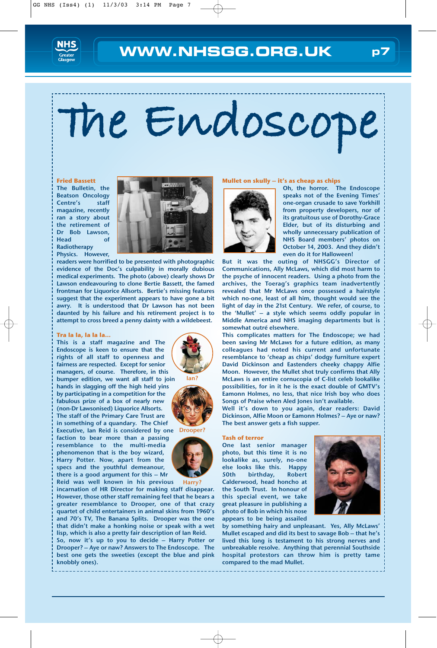

# **The Endoscope**

#### **Fried Bassett**

The Bulletin, the Beatson Oncology Centre's staff magazine, recently ran a story about the retirement of Dr Bob Lawson, Head of Radiotherapy Physics. However,



readers were horrified to be presented with photographic evidence of the Doc's culpability in morally dubious medical experiments. The photo (above) clearly shows Dr Lawson endeavouring to clone Bertie Bassett, the famed frontman for Liquorice Allsorts. Bertie's missing features suggest that the experiment appears to have gone a bit awry. It is understood that Dr Lawson has not been daunted by his failure and his retirement project is to attempt to cross breed a penny dainty with a wildebeest.

#### **Tra la la, la la la…**

This is a staff magazine and The Endoscope is keen to ensure that the rights of all staff to openness and fairness are respected. Except for senior managers, of course. Therefore, in this bumper edition, we want all staff to join hands in slagging off the high heid yins by participating in a competition for the fabulous prize of a box of nearly new (non-Dr Lawsonised) Liquorice Allsorts. The staff of the Primary Care Trust are in something of a quandary. The Chief Executive, Ian Reid is considered by one Drooper? faction to bear more than a passing resemblance to the multi-media phenomenon that is the boy wizard, Harry Potter. Now, apart from the specs and the youthful demeanour, there is a good argument for this – Mr Reid was well known in his previous

incarnation of HR Director for making staff disappear. However, those other staff remaining feel that he bears a greater resemblance to Drooper, one of that crazy quartet of child entertainers in animal skins from 1960's and 70's TV, The Banana Splits. Drooper was the one that didn't make a honking noise or speak with a wet lisp, which is also a pretty fair description of Ian Reid. Harry?

So, now it's up to you to decide – Harry Potter or Drooper? – Aye or naw? Answers to The Endoscope. The best one gets the sweeties (except the blue and pink knobbly ones).

#### **Mullet on skully – it's as cheap as chips**



Oh, the horror. The Endoscope speaks not of the Evening Times' one-organ crusade to save Yorkhill from property developers, nor of its gratuitous use of Dorothy-Grace Elder, but of its disturbing and wholly unnecessary publication of NHS Board members' photos on October 14, 2003. And they didn't even do it for Halloween!

But it was the outing of NHSGG's Director of Communications, Ally McLaws, which did most harm to the psyche of innocent readers. Using a photo from the archives, the Toerag's graphics team inadvertently revealed that Mr McLaws once possessed a hairstyle which no-one, least of all him, thought would see the light of day in the 21st Century. We refer, of course, to the 'Mullet' – a style which seems oddly popular in Middle America and NHS imaging departments but is somewhat outré elsewhere.

This complicates matters for The Endoscope; we had been saving Mr McLaws for a future edition, as many colleagues had noted his current and unfortunate resemblance to 'cheap as chips' dodgy furniture expert David Dickinson and Eastenders cheeky chappy Alfie Moon. However, the Mullet shot truly confirms that Ally McLaws is an entire cornucopia of C-list celeb lookalike possibilities, for in it he is the exact double of GMTV's Eamonn Holmes, no less, that nice Irish boy who does Songs of Praise when Aled Jones isn't available.

Well it's down to you again, dear readers: David Dickinson, Alfie Moon or Eamonn Holmes? – Aye or naw? The best answer gets a fish supper.

#### **Tash of terror**

One last senior manager photo, but this time it is no lookalike as, surely, no-one else looks like this. Happy 50th birthday, Robert Calderwood, head honcho at the South Trust. In honour of this special event, we take great pleasure in publishing a photo of Bob in which his nose appears to be being assailed



by something hairy and unpleasant. Yes, Ally McLaws' Mullet escaped and did its best to savage Bob – that he's lived this long is testament to his strong nerves and unbreakable resolve. Anything that perennial Southside hospital protestors can throw him is pretty tame compared to the mad Mullet.





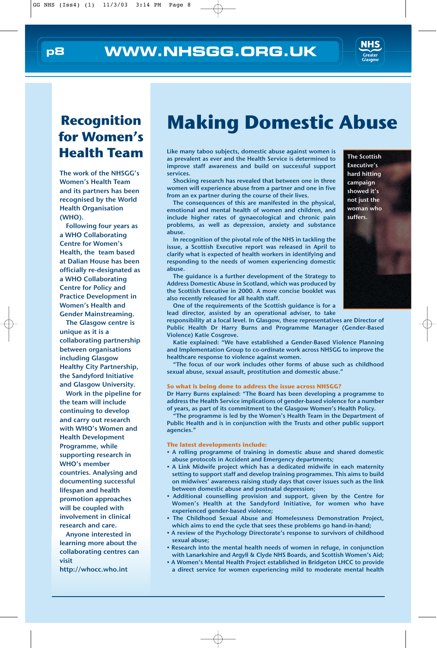

#### **Recognition for Women's Health Team**

The work of the NHSGG's Women's Health Team and its partners has been recognised by the World Health Organisation (WHO).

Following four years as a WHO Collaborating Centre for Women's Health, the team based at Dalian House has been officially re-designated as a WHO Collaborating Centre for Policy and Practice Development in Women's Health and Gender Mainstreaming.

The Glasgow centre is unique as it is a collaborating partnership between organisations including Glasgow Healthy City Partnership, the Sandyford Initiative and Glasgow University.

Work in the pipeline for the team will include continuing to develop and carry out research with WHO's Women and Health Development Programme, while supporting research in WHO's member countries. Analysing and documenting successful lifespan and health promotion approaches will be coupled with involvement in clinical research and care.

Anyone interested in learning more about the collaborating centres can visit

http://whocc.who.int

## **Making Domestic Abuse**

Like many taboo subjects, domestic abuse against women is as prevalent as ever and the Health Service is determined to improve staff awareness and build on successful support services.

Shocking research has revealed that between one in three women will experience abuse from a partner and one in five from an ex partner during the course of their lives.

The consequences of this are manifested in the physical, emotional and mental health of women and children, and include higher rates of gynaecological and chronic pain problems, as well as depression, anxiety and substance abuse.

In recognition of the pivotal role of the NHS in tackling the issue, a Scottish Executive report was released in April to clarify what is expected of health workers in identifying and responding to the needs of women experiencing domestic abuse.

The guidance is a further development of the Strategy to Address Domestic Abuse in Scotland, which was produced by the Scottish Executive in 2000. A more concise booklet was also recently released for all health staff.

campaign showed it's not just the woman who suffers.

The Scottish Executive's hard hitting

One of the requirements of the Scottish guidance is for a lead director, assisted by an operational adviser, to take

responsibility at a local level. In Glasgow, these representatives are Director of Public Health Dr Harry Burns and Programme Manager (Gender-Based Violence) Katie Cosgrove.

Katie explained: "We have established a Gender-Based Violence Planning and Implementation Group to co-ordinate work across NHSGG to improve the healthcare response to violence against women.

"The focus of our work includes other forms of abuse such as childhood sexual abuse, sexual assault, prostitution and domestic abuse."

#### **So what is being done to address the issue across NHSGG?**

Dr Harry Burns explained: "The Board has been developing a programme to address the Health Service implications of gender-based violence for a number of years, as part of its commitment to the Glasgow Women's Health Policy.

"The programme is led by the Women's Health Team in the Department of Public Health and is in conjunction with the Trusts and other public support agencies."

#### **The latest developments include:**

- A rolling programme of training in domestic abuse and shared domestic abuse protocols in Accident and Emergency departments;
- A Link Midwife project which has a dedicated midwife in each maternity setting to support staff and develop training programmes. This aims to build on midwives' awareness raising study days that cover issues such as the link between domestic abuse and postnatal depression;
- Additional counselling provision and support, given by the Centre for Women's Health at the Sandyford Initiative, for women who have experienced gender-based violence;
- The Childhood Sexual Abuse and Homelessness Demonstration Project, which aims to end the cycle that sees these problems go hand-in-hand;
- A review of the Psychology Directorate's response to survivors of childhood sexual abuse;
- Research into the mental health needs of women in refuge, in conjunction with Lanarkshire and Argyll & Clyde NHS Boards, and Scottish Women's Aid;
- A Women's Mental Health Project established in Bridgeton LHCC to provide a direct service for women experiencing mild to moderate mental health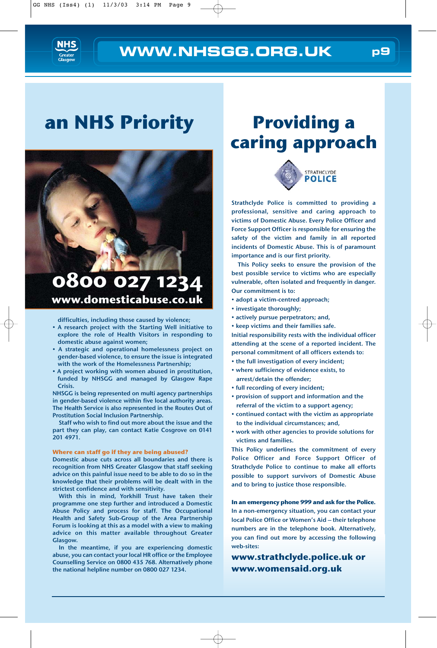

## **an NHS Priority**



#### **0800 027 1234 www.domesticabuse.co.uk**

difficulties, including those caused by violence;

- A research project with the Starting Well initiative to explore the role of Health Visitors in responding to domestic abuse against women;
- A strategic and operational homelessness project on gender-based violence, to ensure the issue is integrated with the work of the Homelessness Partnership;
- A project working with women abused in prostitution, funded by NHSGG and managed by Glasgow Rape Crisis.

NHSGG is being represented on multi agency partnerships in gender-based violence within five local authority areas. The Health Service is also represented in the Routes Out of Prostitution Social Inclusion Partnership.

Staff who wish to find out more about the issue and the part they can play, can contact Katie Cosgrove on 0141 201 4971.

#### **Where can staff go if they are being abused?**

Domestic abuse cuts across all boundaries and there is recognition from NHS Greater Glasgow that staff seeking advice on this painful issue need to be able to do so in the knowledge that their problems will be dealt with in the strictest confidence and with sensitivity.

With this in mind, Yorkhill Trust have taken their programme one step further and introduced a Domestic Abuse Policy and process for staff. The Occupational Health and Safety Sub-Group of the Area Partnership Forum is looking at this as a model with a view to making advice on this matter available throughout Greater Glasgow.

In the meantime, if you are experiencing domestic abuse, you can contact your local HR office or the Employee Counselling Service on 0800 435 768. Alternatively phone the national helpline number on 0800 027 1234.

## **Providing a caring approach**



Strathclyde Police is committed to providing a professional, sensitive and caring approach to victims of Domestic Abuse. Every Police Officer and Force Support Officer is responsible for ensuring the safety of the victim and family in all reported incidents of Domestic Abuse. This is of paramount importance and is our first priority.

This Policy seeks to ensure the provision of the best possible service to victims who are especially vulnerable, often isolated and frequently in danger. Our commitment is to:

- adopt a victim-centred approach;
- investigate thoroughly;
- actively pursue perpetrators; and,
- keep victims and their families safe.

Initial responsibility rests with the individual officer attending at the scene of a reported incident. The personal commitment of all officers extends to:

- the full investigation of every incident;
- where sufficiency of evidence exists, to arrest/detain the offender;
- full recording of every incident;
- provision of support and information and the referral of the victim to a support agency;
- continued contact with the victim as appropriate to the individual circumstances; and,
- work with other agencies to provide solutions for victims and families.

This Policy underlines the commitment of every Police Officer and Force Support Officer of Strathclyde Police to continue to make all efforts possible to support survivors of Domestic Abuse and to bring to justice those responsible.

**In an emergency phone 999 and ask for the Police.** In a non-emergency situation, you can contact your local Police Office or Women's Aid – their telephone numbers are in the telephone book. Alternatively, you can find out more by accessing the following web-sites:

**www.strathclyde.police.uk or www.womensaid.org.uk**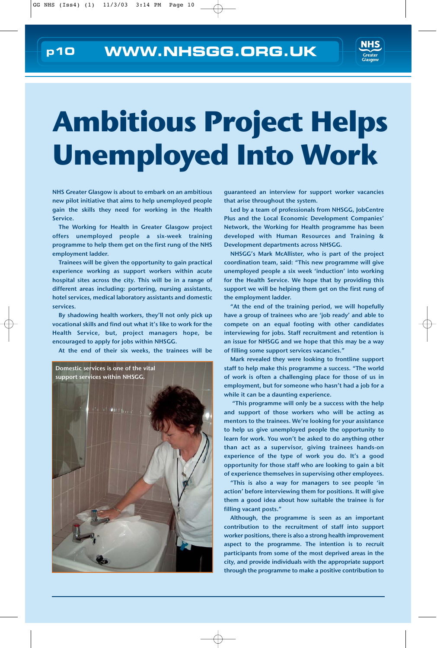

# **Ambitious Project Helps Unemployed Into Work**

NHS Greater Glasgow is about to embark on an ambitious new pilot initiative that aims to help unemployed people gain the skills they need for working in the Health Service.

The Working for Health in Greater Glasgow project offers unemployed people a six-week training programme to help them get on the first rung of the NHS employment ladder.

Trainees will be given the opportunity to gain practical experience working as support workers within acute hospital sites across the city. This will be in a range of different areas including: portering, nursing assistants, hotel services, medical laboratory assistants and domestic services.

By shadowing health workers, they'll not only pick up vocational skills and find out what it's like to work for the Health Service, but, project managers hope, be encouraged to apply for jobs within NHSGG.

At the end of their six weeks, the trainees will be



guaranteed an interview for support worker vacancies that arise throughout the system.

Led by a team of professionals from NHSGG, JobCentre Plus and the Local Economic Development Companies' Network, the Working for Health programme has been developed with Human Resources and Training & Development departments across NHSGG.

NHSGG's Mark McAllister, who is part of the project coordination team, said: "This new programme will give unemployed people a six week 'induction' into working for the Health Service. We hope that by providing this support we will be helping them get on the first rung of the employment ladder.

"At the end of the training period, we will hopefully have a group of trainees who are 'job ready' and able to compete on an equal footing with other candidates interviewing for jobs. Staff recruitment and retention is an issue for NHSGG and we hope that this may be a way of filling some support services vacancies."

Mark revealed they were looking to frontline support staff to help make this programme a success. "The world of work is often a challenging place for those of us in employment, but for someone who hasn't had a job for a while it can be a daunting experience.

"This programme will only be a success with the help and support of those workers who will be acting as mentors to the trainees. We're looking for your assistance to help us give unemployed people the opportunity to learn for work. You won't be asked to do anything other than act as a supervisor, giving trainees hands-on experience of the type of work you do. It's a good opportunity for those staff who are looking to gain a bit of experience themselves in supervising other employees.

"This is also a way for managers to see people 'in action' before interviewing them for positions. It will give them a good idea about how suitable the trainee is for filling vacant posts."

Although, the programme is seen as an important contribution to the recruitment of staff into support worker positions, there is also a strong health improvement aspect to the programme. The intention is to recruit participants from some of the most deprived areas in the city, and provide individuals with the appropriate support through the programme to make a positive contribution to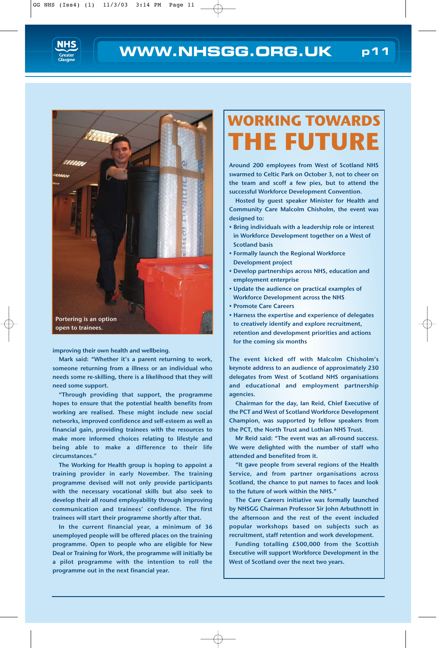



open to trainees.

improving their own health and wellbeing.

Mark said: "Whether it's a parent returning to work, someone returning from a illness or an individual who needs some re-skilling, there is a likelihood that they will need some support.

"Through providing that support, the programme hopes to ensure that the potential health benefits from working are realised. These might include new social networks, improved confidence and self-esteem as well as financial gain, providing trainees with the resources to make more informed choices relating to lifestyle and being able to make a difference to their life circumstances."

The Working for Health group is hoping to appoint a training provider in early November. The training programme devised will not only provide participants with the necessary vocational skills but also seek to develop their all round employability through improving communication and trainees' confidence. The first trainees will start their programme shortly after that.

In the current financial year, a minimum of 36 unemployed people will be offered places on the training programme. Open to people who are eligible for New Deal or Training for Work, the programme will initially be a pilot programme with the intention to roll the programme out in the next financial year.

## **WORKING TOWARDS THE FUTURE**

Around 200 employees from West of Scotland NHS swarmed to Celtic Park on October 3, not to cheer on the team and scoff a few pies, but to attend the successful Workforce Development Convention.

Hosted by guest speaker Minister for Health and Community Care Malcolm Chisholm, the event was designed to:

- Bring individuals with a leadership role or interest in Workforce Development together on a West of Scotland basis
- Formally launch the Regional Workforce Development project
- Develop partnerships across NHS, education and employment enterprise
- Update the audience on practical examples of Workforce Development across the NHS
- Promote Care Careers
- Harness the expertise and experience of delegates to creatively identify and explore recruitment, retention and development priorities and actions for the coming six months

The event kicked off with Malcolm Chisholm's keynote address to an audience of approximately 230 delegates from West of Scotland NHS organisations and educational and employment partnership agencies.

Chairman for the day, Ian Reid, Chief Executive of the PCT and West of Scotland Workforce Development Champion, was supported by fellow speakers from the PCT, the North Trust and Lothian NHS Trust.

Mr Reid said: "The event was an all-round success. We were delighted with the number of staff who attended and benefited from it.

"It gave people from several regions of the Health Service, and from partner organisations across Scotland, the chance to put names to faces and look to the future of work within the NHS."

The Care Careers initiative was formally launched by NHSGG Chairman Professor Sir John Arbuthnott in the afternoon and the rest of the event included popular workshops based on subjects such as recruitment, staff retention and work development.

Funding totalling £500,000 from the Scottish Executive will support Workforce Development in the West of Scotland over the next two years.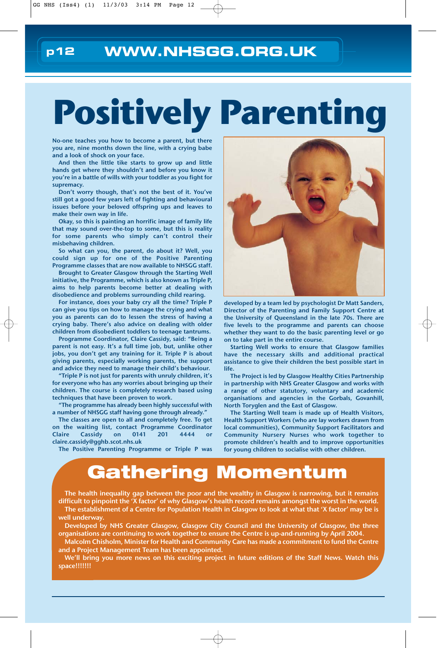# **Positively Parenting**

No-one teaches you how to become a parent, but there you are, nine months down the line, with a crying babe and a look of shock on your face.

And then the little tike starts to grow up and little hands get where they shouldn't and before you know it you're in a battle of wills with your toddler as you fight for supremacy.

Don't worry though, that's not the best of it. You've still got a good few years left of fighting and behavioural issues before your beloved offspring ups and leaves to make their own way in life.

Okay, so this is painting an horrific image of family life that may sound over-the-top to some, but this is reality for some parents who simply can't control their misbehaving children.

So what can you, the parent, do about it? Well, you could sign up for one of the Positive Parenting Programme classes that are now available to NHSGG staff.

Brought to Greater Glasgow through the Starting Well initiative, the Programme, which is also known as Triple P, aims to help parents become better at dealing with disobedience and problems surrounding child rearing.

For instance, does your baby cry all the time? Triple P can give you tips on how to manage the crying and what you as parents can do to lessen the stress of having a crying baby. There's also advice on dealing with older children from disobedient toddlers to teenage tantrums.

Programme Coordinator, Claire Cassidy, said: "Being a parent is not easy. It's a full time job, but, unlike other jobs, you don't get any training for it. Triple P is about giving parents, especially working parents, the support and advice they need to manage their child's behaviour.

"Triple P is not just for parents with unruly children, it's for everyone who has any worries about bringing up their children. The course is completely research based using techniques that have been proven to work.

"The programme has already been highly successful with a number of NHSGG staff having gone through already."

The classes are open to all and completely free. To get on the waiting list, contact Programme Coordinator Claire Cassidy on 0141 201 4444 or claire.cassidy@gghb.scot.nhs.uk

The Positive Parenting Programme or Triple P was



developed by a team led by psychologist Dr Matt Sanders, Director of the Parenting and Family Support Centre at the University of Queensland in the late 70s. There are five levels to the programme and parents can choose whether they want to do the basic parenting level or go on to take part in the entire course.

Starting Well works to ensure that Glasgow families have the necessary skills and additional practical assistance to give their children the best possible start in life.

The Project is led by Glasgow Healthy Cities Partnership in partnership with NHS Greater Glasgow and works with a range of other statutory, voluntary and academic organisations and agencies in the Gorbals, Govanhill, North Toryglen and the East of Glasgow.

The Starting Well team is made up of Health Visitors, Health Support Workers (who are lay workers drawn from local communities), Community Support Facilitators and Community Nursery Nurses who work together to promote children's health and to improve opportunities for young children to socialise with other children.

## **Gathering Momentum**

The health inequality gap between the poor and the wealthy in Glasgow is narrowing, but it remains difficult to pinpoint the 'X factor' of why Glasgow's health record remains amongst the worst in the world. The establishment of a Centre for Population Health in Glasgow to look at what that 'X factor' may be is

well underway.

Developed by NHS Greater Glasgow, Glasgow City Council and the University of Glasgow, the three organisations are continuing to work together to ensure the Centre is up-and-running by April 2004.

Malcolm Chisholm, Minister for Health and Community Care has made a commitment to fund the Centre and a Project Management Team has been appointed.

We'll bring you more news on this exciting project in future editions of the Staff News. Watch this space!!!!!!!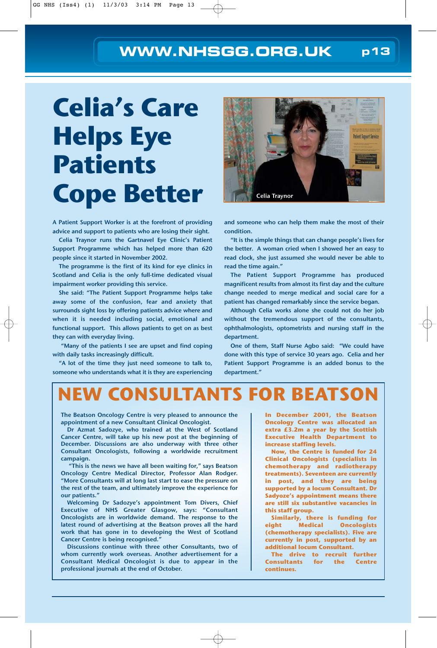# **Celia's Care Helps Eye Patients Cope Better**

A Patient Support Worker is at the forefront of providing advice and support to patients who are losing their sight.

Celia Traynor runs the Gartnavel Eye Clinic's Patient Support Programme which has helped more than 620 people since it started in November 2002.

The programme is the first of its kind for eye clinics in Scotland and Celia is the only full-time dedicated visual impairment worker providing this service.

She said: "The Patient Support Programme helps take away some of the confusion, fear and anxiety that surrounds sight loss by offering patients advice where and when it is needed including social, emotional and functional support. This allows patients to get on as best they can with everyday living.

"Many of the patients I see are upset and find coping with daily tasks increasingly difficult.

"A lot of the time they just need someone to talk to, someone who understands what it is they are experiencing



and someone who can help them make the most of their condition.

"It is the simple things that can change people's lives for the better. A woman cried when I showed her an easy to read clock, she just assumed she would never be able to read the time again."

The Patient Support Programme has produced magnificent results from almost its first day and the culture change needed to merge medical and social care for a patient has changed remarkably since the service began.

Although Celia works alone she could not do her job without the tremendous support of the consultants, ophthalmologists, optometrists and nursing staff in the department.

One of them, Staff Nurse Agbo said: "We could have done with this type of service 30 years ago. Celia and her Patient Support Programme is an added bonus to the department."

## **NEW CONSULTANTS FOR BEATSON**

The Beatson Oncology Centre is very pleased to announce the appointment of a new Consultant Clinical Oncologist.

Dr Azmat Sadozye, who trained at the West of Scotland Cancer Centre, will take up his new post at the beginning of December. Discussions are also underway with three other Consultant Oncologists, following a worldwide recruitment campaign.

"This is the news we have all been waiting for," says Beatson Oncology Centre Medical Director, Professor Alan Rodger. "More Consultants will at long last start to ease the pressure on the rest of the team, and ultimately improve the experience for our patients."

Welcoming Dr Sadozye's appointment Tom Divers, Chief Executive of NHS Greater Glasgow, says: "Consultant Oncologists are in worldwide demand. The response to the latest round of advertising at the Beatson proves all the hard work that has gone in to developing the West of Scotland Cancer Centre is being recognised."

Discussions continue with three other Consultants, two of whom currently work overseas. Another advertisement for a Consultant Medical Oncologist is due to appear in the professional journals at the end of October.

**In December 2001, the Beatson Oncology Centre was allocated an extra £3.2m a year by the Scottish Executive Health Department to increase staffing levels.**

**Now, the Centre is funded for 24 Clinical Oncologists (specialists in chemotherapy and radiotherapy treatments). Seventeen are currently in post, and they are being supported by a locum Consultant. Dr Sadyoze's appointment means there are still six substantive vacancies in this staff group.** 

**Similarly, there is funding for eight Medical Oncologists (chemotherapy specialists). Five are currently in post, supported by an additional locum Consultant.** 

**The drive to recruit further Consultants for the Centre continues.**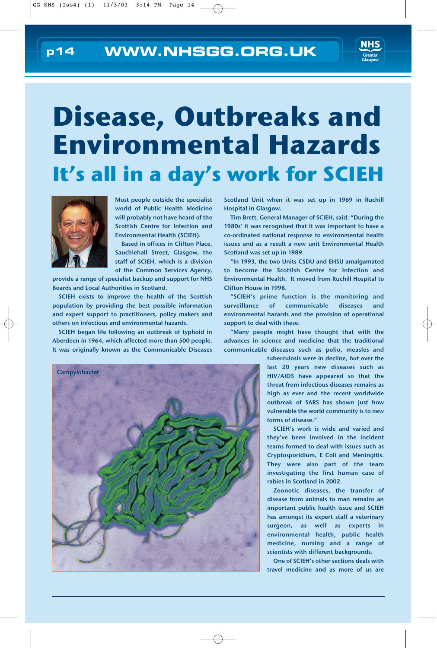

# **Disease, Outbreaks and Environmental Hazards It's all in a day's work for SCIEH**



Most people outside the specialist world of Public Health Medicine will probably not have heard of the Scottish Centre for Infection and Environmental Health (SCIEH).

Based in offices in Clifton Place, Sauchiehall Street, Glasgow, the staff of SCIEH, which is a division of the Common Services Agency,

provide a range of specialist backup and support for NHS Boards and Local Authorities in Scotland.

SCIEH exists to improve the health of the Scottish population by providing the best possible information and expert support to practitioners, policy makers and others on infectious and environmental hazards.

SCIEH began life following an outbreak of typhoid in Aberdeen in 1964, which affected more than 500 people. It was originally known as the Communicable Diseases



Scotland Unit when it was set up in 1969 in Ruchill Hospital in Glasgow.

Tim Brett, General Manager of SCIEH, said: "During the 1980s' it was recognised that it was important to have a co-ordinated national response to environmental health issues and as a result a new unit Environmental Health Scotland was set up in 1989.

"In 1993, the two Units CSDU and EHSU amalgamated to become the Scottish Centre for Infection and Environmental Health. It moved from Ruchill Hospital to Clifton House in 1998.

"SCIEH's prime function is the monitoring and surveillance of communicable diseases and environmental hazards and the provision of operational support to deal with these.

"Many people might have thought that with the advances in science and medicine that the traditional communicable diseases such as polio, measles and

> tuberculosis were in decline, but over the last 20 years new diseases such as HIV/AIDS have appeared so that the threat from infectious diseases remains as high as ever and the recent worldwide outbreak of SARS has shown just how vulnerable the world community is to new forms of disease."

> SCIEH's work is wide and varied and they've been involved in the incident teams formed to deal with issues such as Cryptosporidium, E Coli and Meningitis. They were also part of the team investigating the first human case of rabies in Scotland in 2002.

> Zoonotic diseases, the transfer of disease from animals to man remains an important public health issue and SCIEH has amongst its expert staff a veterinary surgeon, as well as experts in environmental health, public health medicine, nursing and a range of scientists with different backgrounds.

> One of SCIEH's other sections deals with travel medicine and as more of us are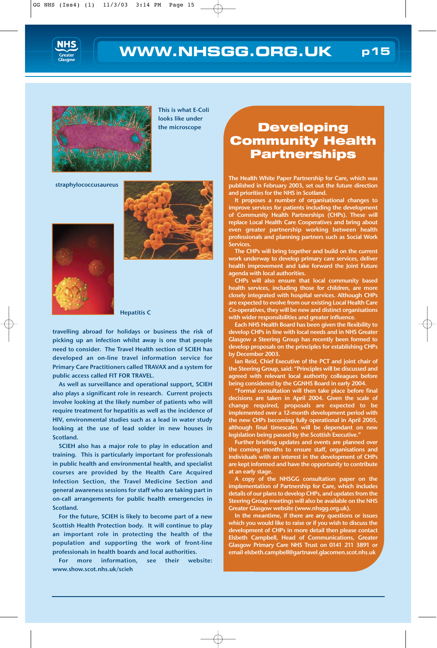



This is what E-Coli looks like under the microscope

straphylococcusaureus





Hepatitis C

travelling abroad for holidays or business the risk of picking up an infection whilst away is one that people need to consider. The Travel Health section of SCIEH has developed an on-line travel information service for Primary Care Practitioners called TRAVAX and a system for public access called FIT FOR TRAVEL.

As well as surveillance and operational support, SCIEH also plays a significant role in research. Current projects involve looking at the likely number of patients who will require treatment for hepatitis as well as the incidence of HIV, environmental studies such as a lead in water study looking at the use of lead solder in new houses in Scotland.

SCIEH also has a major role to play in education and training. This is particularly important for professionals in public health and environmental health, and specialist courses are provided by the Health Care Acquired Infection Section, the Travel Medicine Section and general awareness sessions for staff who are taking part in on-call arrangements for public health emergencies in Scotland.

For the future, SCIEH is likely to become part of a new Scottish Health Protection body. It will continue to play an important role in protecting the health of the population and supporting the work of front-line professionals in health boards and local authorities.

For more information, see their website: www.show.scot.nhs.uk/scieh

#### **Developing Community Health Partnerships**

The Health White Paper Partnership for Care, which was published in February 2003, set out the future direction and priorities for the NHS in Scotland.

It proposes a number of organisational changes to improve services for patients including the development of Community Health Partnerships (CHPs). These will replace Local Health Care Cooperatives and bring about even greater partnership working between health professionals and planning partners such as Social Work Services.

The CHPs will bring together and build on the current work underway to develop primary care services, deliver health improvement and take forward the Joint Future agenda with local authorities.

CHPs will also ensure that local community based health services, including those for children, are more closely integrated with hospital services. Although CHPs are expected to evolve from our existing Local Health Care Co-operatives, they will be new and distinct organisations with wider responsibilities and greater influence.

Each NHS Health Board has been given the flexibility to develop CHPs in line with local needs and in NHS Greater Glasgow a Steering Group has recently been formed to develop proposals on the principles for establishing CHPs by December 2003.

Ian Reid, Chief Executive of the PCT and joint chair of the Steering Group, said: "Principles will be discussed and agreed with relevant local authority colleagues before being considered by the GGNHS Board in early 2004.

"Formal consultation will then take place before final decisions are taken in April 2004. Given the scale of change required, proposals are expected to be implemented over a 12-month development period with the new CHPs becoming fully operational in April 2005, although final timescales will be dependant on new legislation being passed by the Scottish Executive."

Further briefing updates and events are planned over the coming months to ensure staff, organisations and individuals with an interest in the development of CHPs are kept informed and have the opportunity to contribute at an early stage

A copy of the NHSGG consultation paper on the implementation of Partnership for Care, which includes details of our plans to develop CHPs, and updates from the Steering Group meetings will also be available on the NHS Greater Glasgow website (www.nhsgg.org.uk).

In the meantime, if there are any questions or issues which you would like to raise or if you wish to discuss the development of CHPs in more detail then please contact Elsbeth Campbell, Head of Communications, Greater Glasgow Primary Care NHS Trust on 0141 211 3891 or email elsbeth.campbell@gartnavel.glacomen.scot.nhs.uk